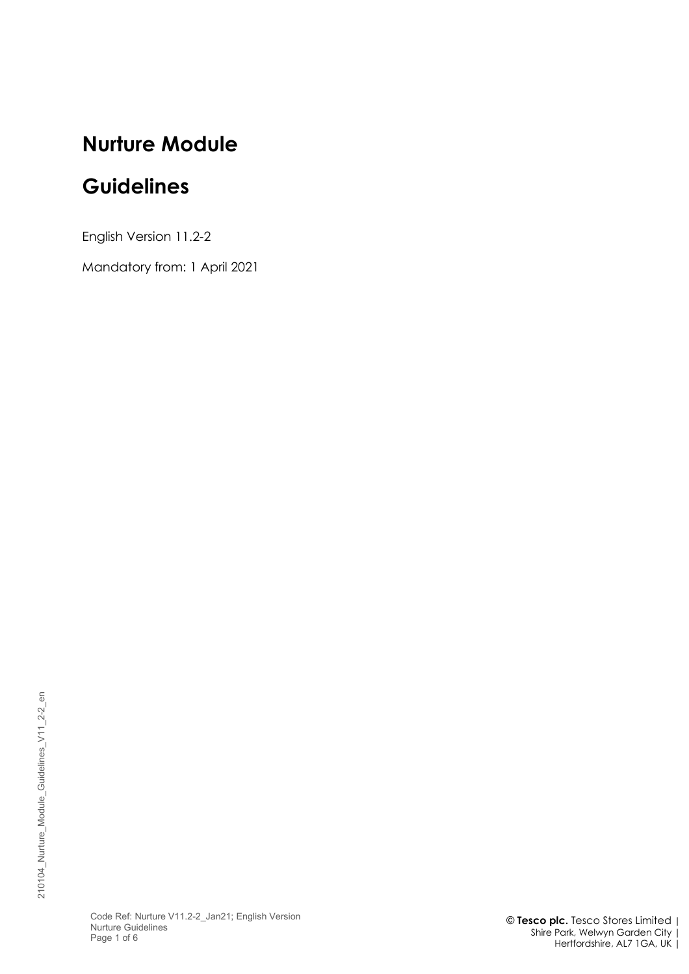# **Nurture Module**

# **Guidelines**

English Version 11.2-2

Mandatory from: 1 April 2021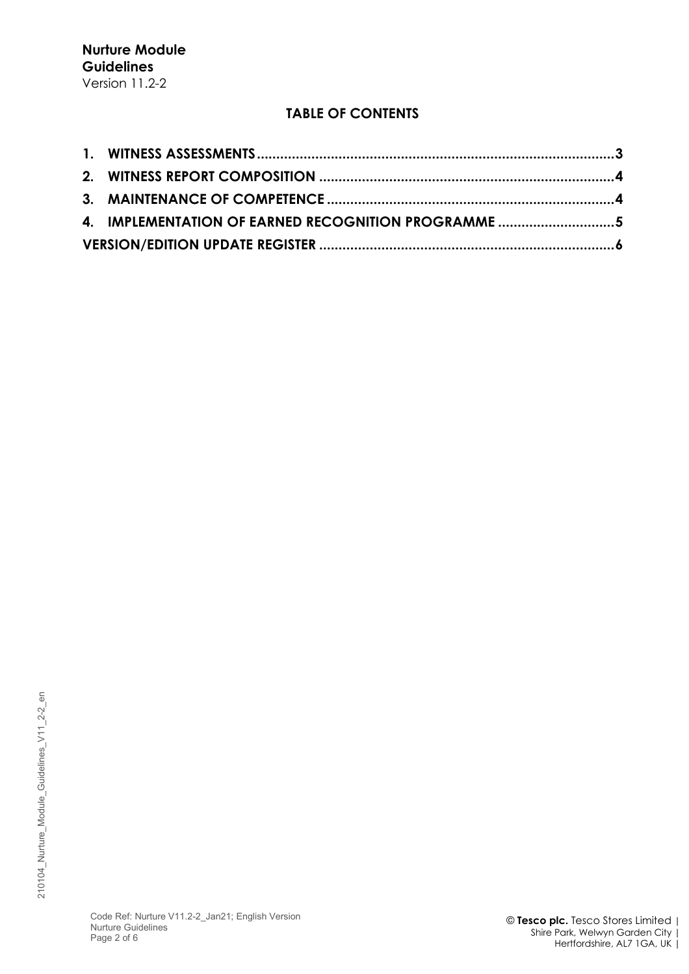## **TABLE OF CONTENTS**

| 4. IMPLEMENTATION OF EARNED RECOGNITION PROGRAMME 5 |  |
|-----------------------------------------------------|--|
|                                                     |  |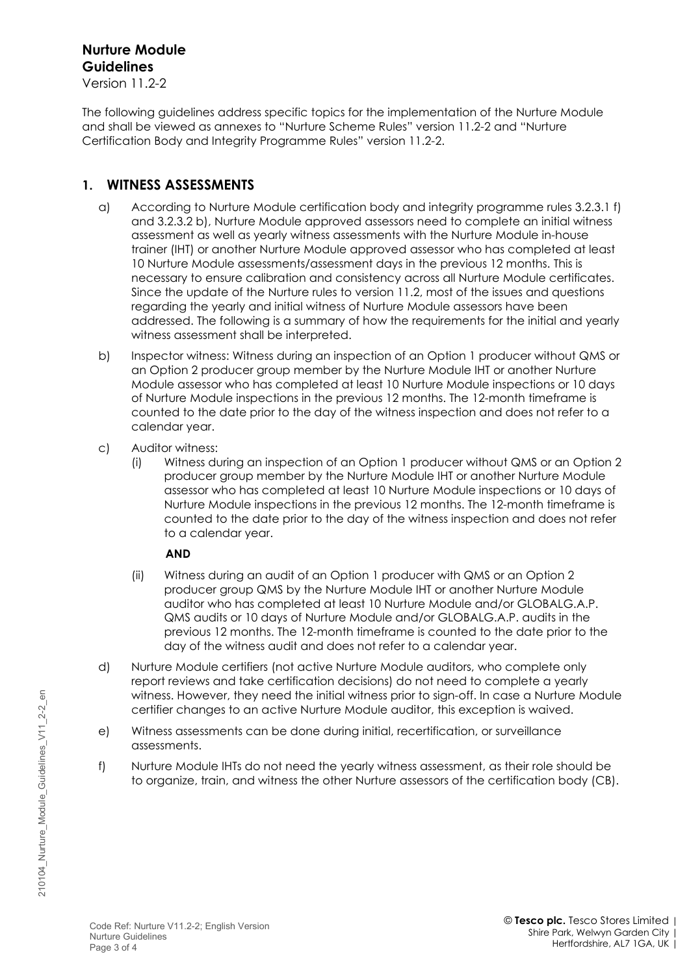## **Nurture Module Guidelines**

Version 11.2-2

The following guidelines address specific topics for the implementation of the Nurture Module and shall be viewed as annexes to "Nurture Scheme Rules" version 11.2-2 and "Nurture Certification Body and Integrity Programme Rules" version 11.2-2.

### <span id="page-2-0"></span>**1. WITNESS ASSESSMENTS**

- a) According to Nurture Module certification body and integrity programme rules 3.2.3.1 f) and 3.2.3.2 b), Nurture Module approved assessors need to complete an initial witness assessment as well as yearly witness assessments with the Nurture Module in-house trainer (IHT) or another Nurture Module approved assessor who has completed at least 10 Nurture Module assessments/assessment days in the previous 12 months. This is necessary to ensure calibration and consistency across all Nurture Module certificates. Since the update of the Nurture rules to version 11.2, most of the issues and questions regarding the yearly and initial witness of Nurture Module assessors have been addressed. The following is a summary of how the requirements for the initial and yearly witness assessment shall be interpreted.
- b) Inspector witness: Witness during an inspection of an Option 1 producer without QMS or an Option 2 producer group member by the Nurture Module IHT or another Nurture Module assessor who has completed at least 10 Nurture Module inspections or 10 days of Nurture Module inspections in the previous 12 months. The 12-month timeframe is counted to the date prior to the day of the witness inspection and does not refer to a calendar year.
- c) Auditor witness:
	- (i) Witness during an inspection of an Option 1 producer without QMS or an Option 2 producer group member by the Nurture Module IHT or another Nurture Module assessor who has completed at least 10 Nurture Module inspections or 10 days of Nurture Module inspections in the previous 12 months. The 12-month timeframe is counted to the date prior to the day of the witness inspection and does not refer to a calendar year.

#### **AND**

- (ii) Witness during an audit of an Option 1 producer with QMS or an Option 2 producer group QMS by the Nurture Module IHT or another Nurture Module auditor who has completed at least 10 Nurture Module and/or GLOBALG.A.P. QMS audits or 10 days of Nurture Module and/or GLOBALG.A.P. audits in the previous 12 months. The 12-month timeframe is counted to the date prior to the day of the witness audit and does not refer to a calendar year.
- d) Nurture Module certifiers (not active Nurture Module auditors, who complete only report reviews and take certification decisions) do not need to complete a yearly witness. However, they need the initial witness prior to sign-off. In case a Nurture Module certifier changes to an active Nurture Module auditor, this exception is waived.
- e) Witness assessments can be done during initial, recertification, or surveillance assessments.
- f) Nurture Module IHTs do not need the yearly witness assessment, as their role should be to organize, train, and witness the other Nurture assessors of the certification body (CB).

 $\overline{e}$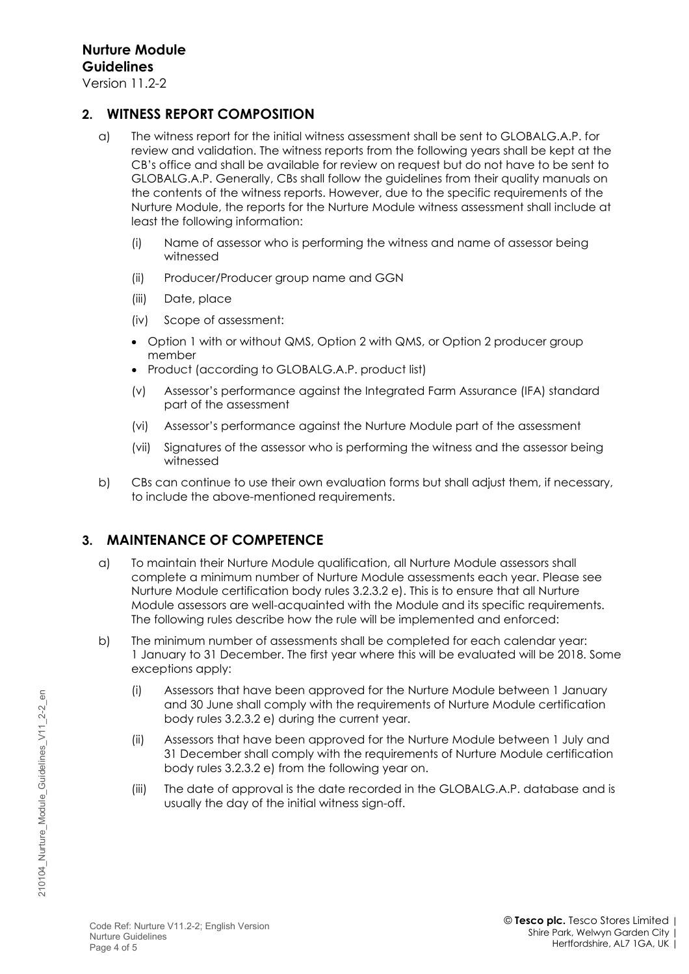Version 11.2-2

#### <span id="page-3-0"></span>**2. WITNESS REPORT COMPOSITION**

- a) The witness report for the initial witness assessment shall be sent to GLOBALG.A.P. for review and validation. The witness reports from the following years shall be kept at the CB's office and shall be available for review on request but do not have to be sent to GLOBALG.A.P. Generally, CBs shall follow the guidelines from their quality manuals on the contents of the witness reports. However, due to the specific requirements of the Nurture Module, the reports for the Nurture Module witness assessment shall include at least the following information:
	- (i) Name of assessor who is performing the witness and name of assessor being witnessed
	- (ii) Producer/Producer group name and GGN
	- (iii) Date, place
	- (iv) Scope of assessment:
	- Option 1 with or without QMS, Option 2 with QMS, or Option 2 producer group member
	- Product (according to GLOBALG.A.P. product list)
	- (v) Assessor's performance against the Integrated Farm Assurance (IFA) standard part of the assessment
	- (vi) Assessor's performance against the Nurture Module part of the assessment
	- (vii) Signatures of the assessor who is performing the witness and the assessor being witnessed
- b) CBs can continue to use their own evaluation forms but shall adjust them, if necessary, to include the above-mentioned requirements.

#### <span id="page-3-1"></span>**3. MAINTENANCE OF COMPETENCE**

- a) To maintain their Nurture Module qualification, all Nurture Module assessors shall complete a minimum number of Nurture Module assessments each year. Please see Nurture Module certification body rules 3.2.3.2 e). This is to ensure that all Nurture Module assessors are well-acquainted with the Module and its specific requirements. The following rules describe how the rule will be implemented and enforced:
- b) The minimum number of assessments shall be completed for each calendar year: 1 January to 31 December. The first year where this will be evaluated will be 2018. Some exceptions apply:
	- (i) Assessors that have been approved for the Nurture Module between 1 January and 30 June shall comply with the requirements of Nurture Module certification body rules 3.2.3.2 e) during the current year.
	- (ii) Assessors that have been approved for the Nurture Module between 1 July and 31 December shall comply with the requirements of Nurture Module certification body rules 3.2.3.2 e) from the following year on.
	- (iii) The date of approval is the date recorded in the GLOBALG.A.P. database and is usually the day of the initial witness sign-off.

 $\epsilon$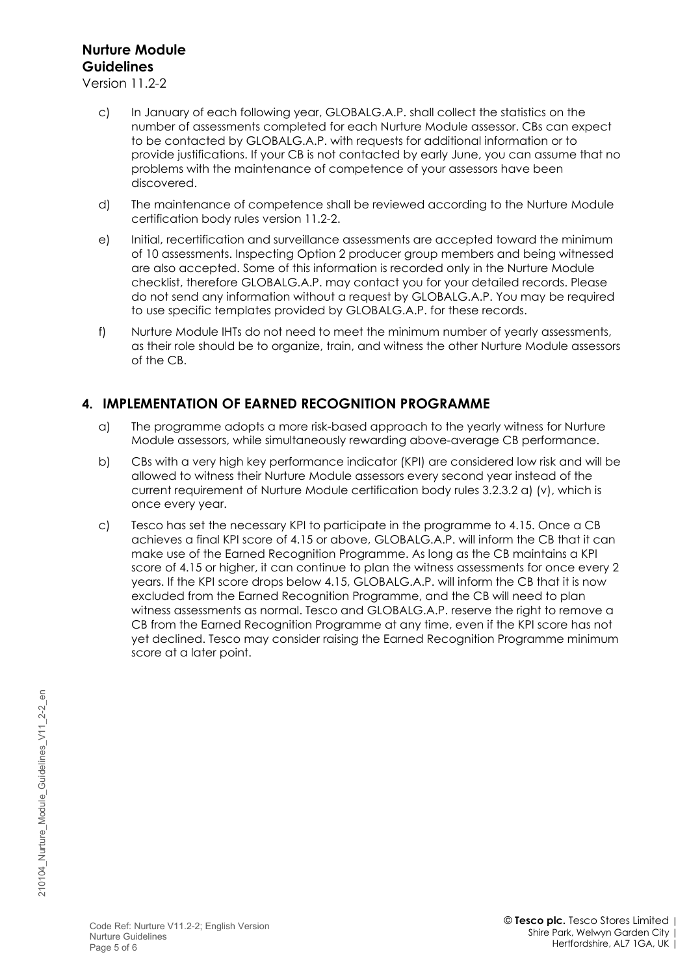## **Nurture Module Guidelines**

Version 11.2-2

- c) In January of each following year, GLOBALG.A.P. shall collect the statistics on the number of assessments completed for each Nurture Module assessor. CBs can expect to be contacted by GLOBALG.A.P. with requests for additional information or to provide justifications. If your CB is not contacted by early June, you can assume that no problems with the maintenance of competence of your assessors have been discovered.
- d) The maintenance of competence shall be reviewed according to the Nurture Module certification body rules version 11.2-2.
- e) Initial, recertification and surveillance assessments are accepted toward the minimum of 10 assessments. Inspecting Option 2 producer group members and being witnessed are also accepted. Some of this information is recorded only in the Nurture Module checklist, therefore GLOBALG.A.P. may contact you for your detailed records. Please do not send any information without a request by GLOBALG.A.P. You may be required to use specific templates provided by GLOBALG.A.P. for these records.
- f) Nurture Module IHTs do not need to meet the minimum number of yearly assessments, as their role should be to organize, train, and witness the other Nurture Module assessors of the CB.

#### <span id="page-4-0"></span>**4. IMPLEMENTATION OF EARNED RECOGNITION PROGRAMME**

- a) The programme adopts a more risk-based approach to the yearly witness for Nurture Module assessors, while simultaneously rewarding above-average CB performance.
- b) CBs with a very high key performance indicator (KPI) are considered low risk and will be allowed to witness their Nurture Module assessors every second year instead of the current requirement of Nurture Module certification body rules 3.2.3.2 a) (v), which is once every year.
- c) Tesco has set the necessary KPI to participate in the programme to 4.15. Once a CB achieves a final KPI score of 4.15 or above, GLOBALG.A.P. will inform the CB that it can make use of the Earned Recognition Programme. As long as the CB maintains a KPI score of 4.15 or higher, it can continue to plan the witness assessments for once every 2 years. If the KPI score drops below 4.15, GLOBALG.A.P. will inform the CB that it is now excluded from the Earned Recognition Programme, and the CB will need to plan witness assessments as normal. Tesco and GLOBALG.A.P. reserve the right to remove a CB from the Earned Recognition Programme at any time, even if the KPI score has not yet declined. Tesco may consider raising the Earned Recognition Programme minimum score at a later point.